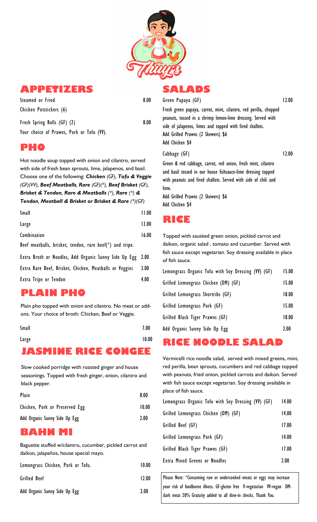

#### **APPETIZERS**

| Steamed or Fried            | 8.00 |
|-----------------------------|------|
| Chicken Potstickers (6)     |      |
| Fresh Spring Rolls (GF) (2) | 8.00 |

Your choice of Prawns, Pork or Tofu (VV).

#### **PHO**

Hot noodle soup topped with onion and cilantro, served with side of fresh bean sprouts, lime, jalapenos, and basil. Choose one of the following: *Chicken (GF), Tofu & Veggie (GF)(VV), Beef Meatballs, Rare (GF)(\*), Beef Brisket (GF), Brisket & Tendon, Rare & Meatballs (\*), Rare (\*) & Tendon, Meatball & Brisket or Brisket & Rare (\*)(GF)*

| Small                                                    | 11.00 |
|----------------------------------------------------------|-------|
| Large                                                    | 13.00 |
| Combination                                              | 16.00 |
| Beef meatballs, brisket, tendon, rare beef(*) and tripe. |       |
| Extra Broth or Noodles, Add Organic Sunny Side Up Egg    | 2.00  |
| Extra Rare Beef, Brisket, Chicken, Meatballs or Veggies  | 3.00  |
| Extra Tripe or Tendon                                    | 4.00  |

## **PLAIN PHO**

Plain pho topped with onion and cilantro. No meat or addons. Your choice of broth: Chicken, Beef or Veggie.

| Small             | 7.00  |
|-------------------|-------|
| Large             | 10.00 |
| SMINE RICE CONGEE |       |

Slow cooked porridge with roasted ginger and house seasonings. Topped with fresh ginger, onion, cilantro and black pepper.

| Plain                          | 8.00  |
|--------------------------------|-------|
| Chicken, Pork or Preserved Egg | 10.00 |
| Add Organic Sunny Side Up Egg  | 2.00  |

#### **BAHN MI**

Baguette stuffed w/cilantro, cucumber, pickled carrot and daikon, jalapeños, house special mayo.

| Lemongrass Chicken, Pork or Tofu. | 10.00 |
|-----------------------------------|-------|
| Grilled Beef                      | 12.00 |
| Add Organic Sunny Side Up Egg     | 2.00  |

#### **SALADS** Green Papaya (GF)

12.00

12.00

Fresh green papaya, carrot, mint, cilantro, red perilla, chopped peanuts, tossed in a shrimp lemon-lime dressing. Served with side of jalapenos, limes and topped with fired shallots. Add Grilled Prawns (2 Skewers) \$6 Add Chicken \$4

Cabbage (GF)

Green & red cabbage, carrot, red onion, fresh mint, cilantro and basil tossed in our house fishsauce-lime dressing topped with peanuts and fired shallots. Served with side of chili and lime.

Add Grilled Prawns (2 Skewers) \$6 Add Chicken \$4

## **RICE**

Topped with sautéed green onion, pickled carrot and daikon, organic salad , tomato and cucumber. Served with fish sauce except vegetarian. Soy dressing available in place of fish sauce.

| Lemongrass Organic Tofu with Soy Dressing (VV) (GF) | 15.00 |
|-----------------------------------------------------|-------|
| Grilled Lemongrass Chicken (DM) (GF)                | 15.00 |
| Grilled Lemongrass Shortribs (GF)                   | 18.00 |
| Grilled Lemongrass Pork (GF)                        | 15.00 |
| Grilled Black Tiger Prawns (GF)                     | 18.00 |
| Add Organic Sunny Side Up Egg                       | 2.00  |

## Large 10.00 **RICE NOODLE SALAD**

Vermicelli rice noodle salad, served with mixed greens, mint, red perilla, bean sprouts, cucumbers and red cabbage topped with peanuts, fried onion, pickled carrots and daikon. Served with fish sauce except vegetarian. Soy dressing available in place of fish sauce.

| Lemongrass Organic Tofu with Soy Dressing (VV) (GF) | 14.00 |
|-----------------------------------------------------|-------|
| Grilled Lemongrass Chicken (DM) (GF)                | 14.00 |
| Grilled Beef (GF)                                   | 17.00 |
| Grilled Lemongrass Pork (GF)                        | 14.00 |
| Grilled Black Tiger Prawns (GF)                     | 17.00 |
| <b>Extra Mixed Greens or Noodles</b>                | 2.00  |

Please Note: \*Consuming raw or undercooked meats or eggs may increase your risk of foodborne illness. GF-gluten free V-vegetarian VV-vegan DMdark meat 20% Gratuity added to all dine-in checks. Thank You.